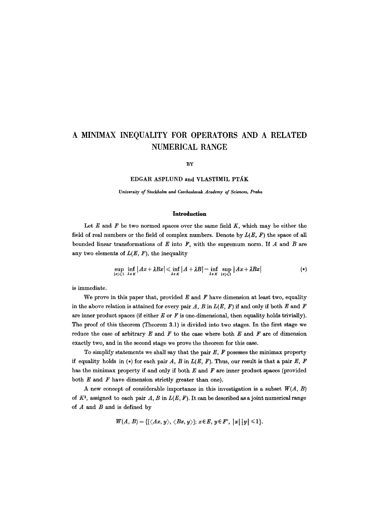# **A MINIMAX INEQUALITY FOR OPERATORS AND A RELATED NUMERICAL RANGE**

#### **BY**

## EDGAR ASPLUND and VLASTIMIL PTÁK

*University of Stockholm and Czechoslovak Academy of Sciences, Praha* 

#### **Introduction**

Let  $E$  and  $F$  be two normed spaces over the same field  $K$ , which may be either the field of real numbers or the field of complex numbers. Denote by  $L(E, F)$  the space of all bounded linear transformations of  $E$  into  $F$ , with the supremum norm. If  $A$  and  $B$  are any two elements of  $L(E, F)$ , the inequality

$$
\sup_{|x| \leq 1} \inf_{\lambda \in K} |Ax + \lambda Bx| \leq \inf_{\lambda \in K} |A + \lambda B| = \inf_{\lambda \in K} \sup_{|x| \leq 1} |Ax + \lambda Bx| \qquad (*)
$$

is immediate.

We prove in this paper that, provided  $E$  and  $F$  have dimension at least two, equality in the above relation is attained for every pair  $A$ ,  $B$  in  $L(E, F)$  if and only if both  $E$  and  $F$ are inner product spaces (if either  $E$  or  $F$  is one-dimensional, then equality holds trivially). The proof of this theorem (Theorem 3.1) is divided into two stages. In the first stage we reduce the case of arbitrary  $E$  and  $F$  to the case where both  $E$  and  $F$  are of dimension exactly two, and in the second stage we prove the theorem for this ease.

To simplify statements we shall say that the pair  $E$ ,  $F$  posesses the minimax property if equality holds in  $(*)$  for each pair A, B in  $L(E, F)$ . Thus, our result is that a pair E, F has the minimax property if and only if both  $E$  and  $F$  are inner product spaces (provided both  $E$  and  $F$  have dimension strictly greater than one).

A new concept of considerable importance in this investigation is a subset  $W(A, B)$ of  $K^2$ , assigned to each pair A, B in  $L(E, F)$ . It can be described as a joint numerical range of  $A$  and  $B$  and is defined by

$$
W(A, B) = \{ [\langle Ax, y \rangle, \langle Bx, y \rangle]; x \in E, y \in F', |x| |y| \leq 1 \}.
$$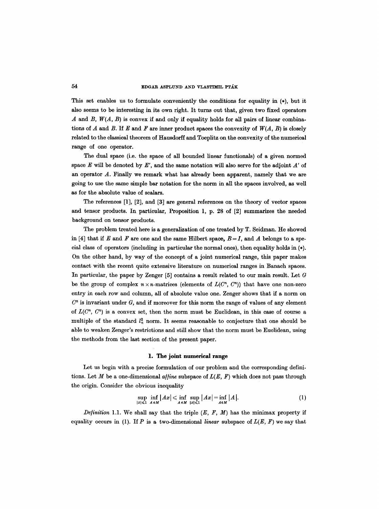This set enables us to formulate conveniently the conditions for equality in (\*), but it also seems to be interesting in its own right. It turns out that, given two fixed operators A and B,  $W(A, B)$  is convex if and only if equality holds for all pairs of linear combinations of A and B. If E and F are inner product spaces the convexity of  $W(A, B)$  is closely related to the classical theorem of Hansdorff and Toeplitz on the convexity of the numerical range of one operator.

The dual space (i.e. the space of all bounded linear functionals) of a given normed space  $E$  will be denoted by  $E'$ , and the same notation will also serve for the adjoint  $A'$  of an operator  $A$ . Finally we remark what has already been apparent, namely that we are going to use the same simple bar notation for the norm in all the spaces involved, as well as for the absolute value of scalars.

The references [1], [2], and [3] are general references on the theory of vector spaces and tensor products. In particular, Proposition 1, p. 28 of [2] summarizes the needed background on tensor products.

The problem treated here is a generalization of one treated by T. Seidman. He showed in [4] that if E and F are one and the same Hilbert space,  $B = I$ , and A belongs to a special class of operators (including in particular the normal ones), then equality holds in (\*). On the other hand, by way of the concept of a joint numerical range, this paper makes contact with the recent quite extensive literature on numerical ranges in Banach spaces. In particular, the paper by Zenger [5] contains a result related to our main result. Let G be the group of complex  $n \times n$ -matrices (elements of  $L(C^n, C^n)$ ) that have one non-zero entry in each row and column, all of absolute value one. Zenger shows that if a norm on  $C<sup>n</sup>$  is invariant under  $G$ , and if moreover for this norm the range of values of any element of  $L(C^n, C^n)$  is a convex set, then the norm must be Euclidean, in this case of course a multiple of the standard  $l_n^2$  norm. It seems reasonable to conjecture that one should be able to weaken Zenger's restrictions and still show that the norm must be Euclidean, using the methods from the last section of the present paper.

#### **1. The joint numerical** range

Let us begin with a precise formulation of our problem and the corresponding definitions. Let M be a one-dimensional *a/fine* subspace of *L(E, F)* which does not pass through the origin. Consider the obvious inequality

$$
\sup_{|x| \leqslant 1} \inf_{A \in M} |Ax| \leqslant \inf_{A \in M} \sup_{|x| \leqslant 1} |Ax| = \inf_{A \in M} |A|.
$$
 (1)

*Definition* 1.1. We shall say that the triple  $(E, F, M)$  has the minimax property if equality occurs in (1). If P is a two-dimensional *linear* subspace of  $L(E, F)$  we say that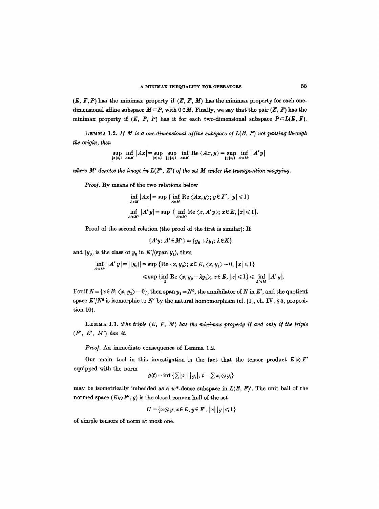$(E, F, P)$  has the minimax property if  $(E, F, M)$  has the minimax property for each onedimensional affine subspace  $M \subset P$ , with  $0 \notin M$ . Finally, we say that the pair  $(E, F)$  has the minimax property if  $(E, F, P)$  has it for each two-dimensional subspace  $P \subset L(E, F)$ .

LEMMA 1.2. If  $M$  is a one-dimensional affine subspace of  $L(E, F)$  not passing through *the origin, then* 

$$
\sup_{|x| \leqslant 1} \inf_{A \in M} |Ax| = \sup_{|x| \leqslant 1} \sup_{|y| \leqslant 1} \inf_{A \in M} \text{Re} \langle Ax, y \rangle = \sup_{|y| \leqslant 1} \inf_{A' \in M'} |A'y|
$$

where  $M'$  denotes the image in  $L(F', E')$  of the set  $M$  under the transposition mapping.

*Proo/.* By means of the two relations below

$$
\inf_{A \in M} |Ax| = \sup \{ \inf_{A \in M} \text{Re} \langle Ax, y \rangle; y \in F', |y| \leq 1 \}
$$
  
\n
$$
\inf_{A' \in M'} |A'y| = \sup \{ \inf_{A' \in M'} \text{Re} \langle x, A'y \rangle; x \in E, |x| \leq 1 \}.
$$

Proof of the second relation (the proof of the first is similar): If

 ${A'y; A' \in M'} = {y_0 + \lambda y_1; \lambda \in K}$ 

and  $[y_0]$  is the class of  $y_0$  in  $E'/(\text{span } y_1)$ , then

$$
\inf_{A' \in M'} |A' y| = |[y_0]| = \sup \{ \text{Re } \langle x, y_0 \rangle; x \in E, \langle x, y_1 \rangle = 0, |x| \leq 1 \} \leq \sup \{ \inf_A \text{Re } \langle x, y_0 + \lambda y_1 \rangle; x \in E, |x| \leq 1 \} \leq \inf_{A' \in M'} |A' y|.
$$

For if  $N = {x \in E; \langle x, y_1 \rangle = 0}$ , then span  $y_1 = N^0$ , the annihilator of N in E', and the quotient space  $E'/N^0$  is isomorphic to N' by the natural homomorphism (cf. [1], ch. IV, § 5, proposition 10).

LEMMA 1.3. The triple  $(E, F, M)$  has the minimax property if and only if the triple *(F', E', M') has it.* 

*Proo]. An* immediate consequence of Lemma 1.2.

Our main tool in this investigation is the fact that the tensor product  $E \otimes F'$ equipped with the norm

$$
g(t) = \inf \left\{ \sum |x_i| \, |y_i|; \, t = \sum x_i \otimes y_i \right\}
$$

may be isometrically imbedded as a  $w^*$ -dense subspace in  $L(E, F)'$ . The unit ball of the normed space  $(E \otimes F', g)$  is the closed convex hull of the set

$$
U = \{x \otimes y; x \in E, y \in F', |x| \, |y| \leq 1\}
$$

of simple tensors of norm at most one.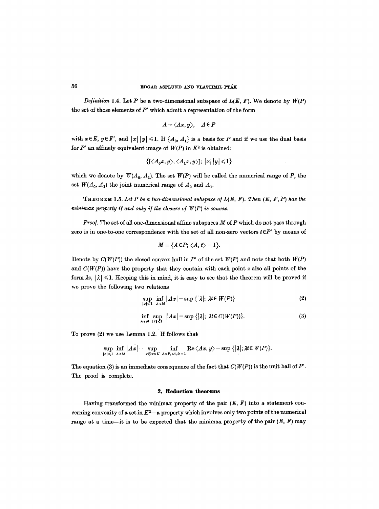*Definition* 1.4. Let P be a two-dimensional subspace of  $L(E, F)$ . We denote by  $W(P)$ the set of those elements of *P'* which admit a representation of the form

$$
A \rightarrow \langle Ax, y \rangle, \quad A \in P
$$

with  $x \in E$ ,  $y \in F'$ , and  $|x| |y| \le 1$ . If  $\{A_0, A_1\}$  is a basis for P and if we use the dual basis for  $P'$  an affinely equivalent image of  $W(P)$  in  $K^2$  is obtained:

$$
\{[\langle A_0x,y\rangle,\langle A_1x,y\rangle];\,|x|\,|y|\leqslant 1\}
$$

which we denote by  $W(A_0, A_1)$ . The set  $W(P)$  will be called the numerical range of P, the set  $W(A_0, A_1)$  the joint numerical range of  $A_0$  and  $A_1$ .

THEOREM 1.5. Let P be a two-dimensional subspace of  $L(E, F)$ . Then  $(E, F, P)$  has the  $minimax$  property if and only if the closure of  $W(P)$  is convex.

*Proof.* The set of all one-dimensional affine subspaces M of P which do not pass through zero is in one-to-one correspondence with the set of all non-zero vectors  $t \in P'$  by means of

$$
M = \{A \in P; \langle A, t \rangle = 1\}.
$$

Denote by  $C(W(P))$  the closed convex hull in P' of the set  $W(P)$  and note that both  $W(P)$ and  $C(W(P))$  have the property that they contain with each point z also all points of the form  $\lambda z$ ,  $|\lambda| \leq 1$ . Keeping this in mind, it is easy to see that the theorem will be proved if we prove the following two relations

$$
\sup_{|x| \leq 1} \inf_{A \in M} |Ax| = \sup \{ |\lambda|; \ \lambda t \in W(P) \} \tag{2}
$$

$$
\inf_{A \in M} \sup_{\|x\| \le 1} |Ax| = \sup \{|\lambda|; \ \lambda t \in C(W(P))\}.
$$
 (3)

To prove (2) we use Lemma 1.2. If follows that

$$
\sup_{|x| \leqslant 1} \inf_{A \in M} |Ax| = \sup_{x \otimes y \in U} \inf_{A \in P, \forall A, b=1} \text{Re} \langle Ax, y \rangle = \sup \{ |A|; \lambda \in W(P) \}.
$$

The equation (3) is an immediate consequence of the fact that  $C(W(P))$  is the unit ball of *P'*. The proof is complete.

### **2. Reduction theorems**

Having transformed the minimax property of the pair  $(E, F)$  into a statement concerning convexity of a set in  $K^2$ --a property which involves only two points of the numerical range at a time-it is to be expected that the minimax property of the pair  $(E, F)$  may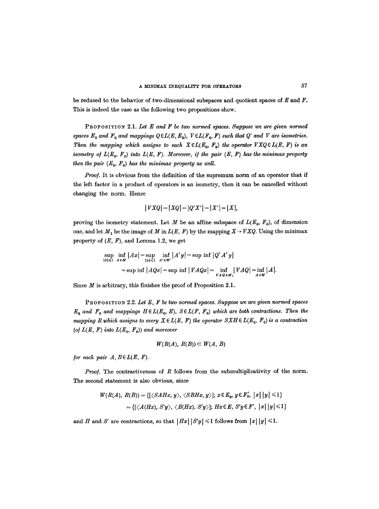be reduced to the behavior of two-dimensional subspaces and quotient spaces of  $E$  and  $F$ . This is indeed the case as the following two propositions show.

PROPOSITION 2.1. Let E and F be two normed spaces. Suppose we are given normed spaces  $E_0$  and  $F_0$  and mappings  $Q \in L(E, E_0)$ ,  $V \in L(F_0, F)$  such that  $Q'$  and  $V$  are isometries. *Then the mapping which assigns to each*  $X \in L(E_0, F_0)$  the operator  $VXQ \in L(E, F)$  is an *isometry of*  $L(E_0, F_0)$  *into*  $L(E, F)$ *. Moreover, if the pair*  $(E, F)$  has the minimax property *then the pair*  $(E_0, F_0)$  *has the minimax property as well.* 

*Proo/.* It is obvious from the definition of the supremum norm of an operator that if the left factor in a product of operators is an isometry, then it can be cancelled without changing the norm. Hence

$$
|VXQ| = |XQ| = |Q'X'| = |X'| = |X|,
$$

proving the isometry statement. Let M be an affine subspace of  $L(E_0, F_0)$ , of dimension one, and let  $M_1$  be the image of M in  $L(E, F)$  by the mapping  $X \rightarrow VXQ$ . Using the minimax property of  $(E, F)$ , and Lemma 1.2, we get

$$
\sup_{|x| \leqslant 1} \inf_{A \in M} |Ax| = \sup_{|y| \leqslant 1} \inf_{A' \in M'} |A'y| = \sup_{\|y\| \leqslant 1} \inf_{A' \in M'} |Q'A'y|
$$
  
=  $\sup_{\|x\| \leqslant 1} \inf_{A} |AQx| = \sup_{\|x\| \leqslant 1} \inf_{A' \in M} |VAQ| = \inf_{A \in M} |A|.$ 

Since  $M$  is arbitrary, this finishes the proof of Proposition 2.1.

PROPOSITION 2.2. Let E, F be two normed spaces. Suppose we are given normed spaces  $E_0$  and  $F_0$  and mappings  $H \in L(E_0, E)$ ,  $S \in L(F, F_0)$  which are both contractions. Then the *mapping R which assigns to every*  $X \in L(E, F)$  the operator  $S X H \in L(E_0, F_0)$  is a contraction (of  $L(E, F)$  into  $L(E_0, F_0)$ ) and moreover

$$
W(R(A), R(B)) \subset W(A, B)
$$

*for each pair*  $A, B \in L(E, F)$ *.* 

*Proof.* The contractiveness of R follows from the submultiplicativity of the norm. The second statement is also obvious, since

$$
W(R(A), R(B)) = \{ [\langle \mathcal{S}AHx, y \rangle, \langle \mathcal{S}BHx, y \rangle]; x \in E_0, y \in F'_0, |x| |y| \leq 1 \}
$$
  
= \{ [\langle \mathcal{A}(Hx), S'y \rangle, \langle \mathcal{B}(Hx), S'y \rangle]; Hx \in E, S'y \in F', |x| |y| \leq 1 \}

and H and S' are contractions, so that  $|Hx| |S'y| \leq 1$  follows from  $|x| |y| \leq 1$ .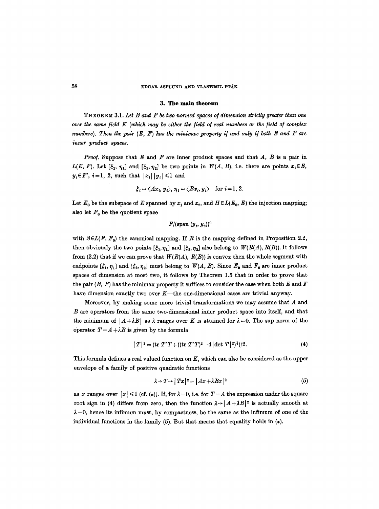#### 58 EDGAR ASPLUND AND VLASTIMIL PTÁK

## **3.** The main theorem

THEOREM 3.1. *Let E and F be two normed spaces o/dimension strictly greater than one over the same field K (which may be either the field of real numbers or the field o/complex numbers). Then the pair*  $(E, F)$  *has the minimax property if and only if both E and F are inner product spaces.* 

*Proof.* Suppose that  $E$  and  $F$  are inner product spaces and that  $A$ ,  $B$  is a pair in  $L(E, F)$ . Let  $[\xi_1, \eta_1]$  and  $[\xi_2, \eta_2]$  be two points in  $W(A, B)$ , i.e. there are points  $x_i \in E$ ,  $y_i \in F', i = 1, 2$ , such that  $|x_i| |y_i| \leq 1$  and

$$
\xi_i = \langle Ax_i, y_i \rangle, \eta_i = \langle Bx_i, y_i \rangle
$$
 for  $i = 1, 2$ .

Let  $E_0$  be the subspace of E spanned by  $x_1$  and  $x_2$ , and  $H \in L(E_0, E)$  the injection mapping; also let  $F_0$  be the quotient space

 $F/(\text{span}(y_1, y_2))^0$ 

with  $S\in L(F, F_0)$  the canonical mapping. If R is the mapping defined in Proposition 2.2, then obviously the two points  $[\xi_1,\eta_1]$  and  $[\xi_2,\eta_2]$  also belong to  $W(R(A), R(B))$ . It follows from (2.2) that if we can prove that  $W(R(A), R(B))$  is convex then the whole segment with endpoints  $[\xi_1, \eta_1]$  and  $[\xi_2, \eta_2]$  must belong to  $W(A, B)$ . Since  $E_0$  and  $F_0$  are inner product spaces of dimension at most two, it follows by Theorem 1.5 that in order to prove that the pair  $(E, F)$  has the minimax property it suffices to consider the case when both E and F have dimension exactly two over  $K$ —the one-dimensional cases are trivial anyway.

Moreover, by making some more trivial transformations we may assume that  $A$  and B are operators from the same two-dimensional inner product space into itself, and that the minimum of  $|A + \lambda B|$  as  $\lambda$  ranges over K is attained for  $\lambda = 0$ . The sup norm of the operator  $T = A + \lambda B$  is given by the formula

$$
|T|^2 = (\text{tr } T'T + ((\text{tr } T'T)^2 - 4|\det T|^2)^{\frac{1}{2}})/2. \tag{4}
$$

This formula defines a real valued function on  $K$ , which can also be considered as the upper envelope of a family of positive quadratic functions

$$
\lambda \to T \to |Tx|^2 = |Ax + \lambda Bx|^2 \tag{5}
$$

as x ranges over  $|x| \leq 1$  (cf. (\*)). If, for  $\lambda = 0$ , i.e. for  $T = A$  the expression under the square root sign in (4) differs from zero, then the function  $\lambda \rightarrow |A + \lambda B|^2$  is actually smooth at  $\lambda = 0$ , hence its infimum must, by compactness, be the same as the infimum of one of the individual functions in the family (5). But that means that equality holds in  $(*)$ .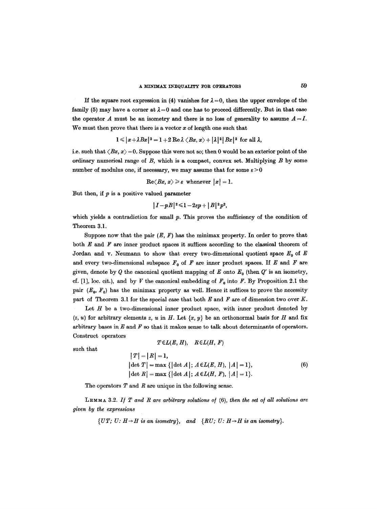If the square root expression in (4) vanishes for  $\lambda = 0$ , then the upper envelope of the family (5) may have a corner at  $\lambda = 0$  and one has to proceed differently. But in that case the operator A must be an isometry and there is no loss of generality to assume  $A = I$ . We must then prove that there is a vector  $x$  of length one such that

$$
1 \leqslant |x+\lambda Bx|^2 = 1 + 2 \operatorname{Re} \lambda \langle Bx, x \rangle + |\lambda|^2 |Bx|^2 \text{ for all } \lambda,
$$

i.e. such that  $\langle Bx, x\rangle = 0$ . Suppose this were not so; then 0 would be an exterior point of the ordinary numerical range of  $B$ , which is a compact, convex set. Multiplying  $B$  by some number of modulus one, if necessary, we may assume that for some  $\varepsilon > 0$ 

 $\text{Re}\langle Bx, x\rangle \geqslant \varepsilon$  whenever  $|x|=1$ .

But then, if  $p$  is a positive valued parameter

$$
|I-pB|^2\leqslant 1-2\varepsilon p+|B|^2p^2,
$$

which yields a contradiction for small  $p$ . This proves the sufficiency of the condition of Theorem 3.1.

Suppose now that the pair  $(E, F)$  has the minimax property. In order to prove that both  $E$  and  $F$  are inner product spaces it suffices according to the classical theorem of Jordan and v. Neumann to show that every two-dimensional quotient space  $E_0$  of E and every two-dimensional subspace  $F_0$  of  $F$  are inner product spaces. If  $E$  and  $F$  are given, denote by Q the canonical quotient mapping of E onto  $E_0$  (then  $Q'$  is an isometry, cf. [1], loc. cit.), and by V the canonical embedding of  $F<sub>0</sub>$  into F. By Proposition 2.1 the pair  $(E_0, F_0)$  has the minimax property as well. Hence it suffices to prove the necessity part of Theorem 3.1 for the special case that both  $E$  and  $F$  are of dimension two over  $K$ .

Let  $H$  be a two-dimensional inner product space, with inner product denoted by  $(z, u)$  for arbitrary elements z, u in H. Let  $\{x, y\}$  be an orthonormal basis for H and fix arbitrary bases in  $E$  and  $F$  so that it makes sense to talk about determinants of operators. Construct operators  $T\epsilon L(E,H),$   $R\epsilon L(H,F)$ 

such that

$$
|T| = |R| = 1,
$$
  
\n
$$
|\det T| = \max \{ |\det A|; A \in L(E, H), |A| = 1 \},
$$
  
\n
$$
|\det R| = \max \{ |\det A|; A \in L(H, F), |A| = 1 \}.
$$
  
\n(6)

The operators  $T$  and  $R$  are unique in the following sense.

LEMMA 3.2. If T and R are arbitrary solutions of (6), then the set of all solutions are *given by the expressions* 

*{UT; U: H*  $\rightarrow$  *H is an isometry}, and {RU; U: H*  $\rightarrow$  *H is an isometry}.*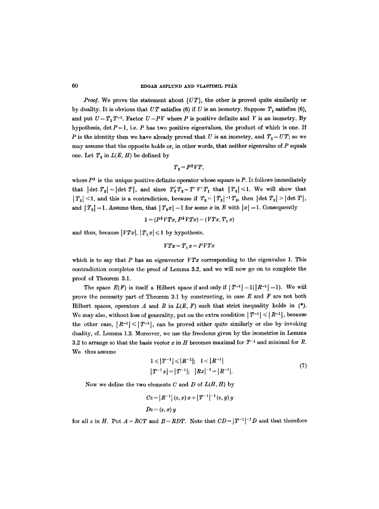*Proof.* We prove the statement about  $\{UT\}$ , the other is proved quite similarily or by duality. It is obvious that  $UT$  satisfies (6) if U is an isometry. Suppose  $T_1$  satisfies (6), and put  $U = T_1 T^{-1}$ . Factor  $U = PV$  where P is positive definite and V is an isometry. By hypothesis, det  $P = 1$ , i.e. P has two positive eigenvalues, the product of which is one. If P is the identity then we have already proved that U is an isometry, and  $T_1 = UT$ ; so we may assume that the opposite holds or, in other words, that neither eigenvalue of  $P$  equals one. Let  $T_2$  in  $L(E, H)$  be defined by

$$
T_2 = P^{\frac{1}{2}}VT,
$$

where  $P^{\frac{1}{2}}$  is the unique positive definite operator whose square is P. It follows immediately that  $|\det T_2| = |\det T|$ , and since  $T_2' T_2 = T' V' T_1$  that  $|T_2| \leq 1$ . We will show that  $|T_2|$  < 1, and this is a contradiction, because if  $T_3 = |T_2|^{-1} T_2$ , then  $|\det T_3| > |\det T|$ , and  $|T_3| = 1$ . Assume then, that  $|T_2x| = 1$  for some x in E with  $|x| = 1$ . Consequently

$$
1 = (P^{\frac{1}{2}}VTx, P^{\frac{1}{2}}VTx) = (VTx, T_1 x)
$$

and thus, because  $|VTx|, |T_1x| \leq 1$  by hypothesis,

$$
VTx\!=\!T_1x\!=\!PVTx
$$

which is to say that P has an eigenvector  $VTx$  corresponding to the eigenvalue 1. This contradiction completes the proof of Lemma 3.2, and we will now go on to complete the proof of Theorem 3.1.

The space  $E(F)$  is itself a Hilbert space if and only if  $|T^{-1}| = 1(|R^{-1}| = 1)$ . We will prove the necessity part of Theorem 3.1 by constructing, in case  $E$  and  $F$  are not both Hilbert spaces, operators A and B in  $L(E, F)$  such that strict inequality holds in  $(*).$ We may also, without loss of generality, put on the extra condition  $|T^{-1}| \leq R^{-1}$ , because the other case,  $|R^{-1}| \leq |T^{-1}|$ , can be proved either quite similarly or else by invoking duality, cf. Lemma 1.3. Moreover, we use the freedoms given by the isometries in Lemma 3.2 to arrange so that the basis vector x in H becomes maximal for  $T^{-1}$  and minimal for R. We thus assume

$$
1 \leq |T^{-1}| \leq |R^{-1}|; \quad 1 < |R^{-1}|
$$
\n
$$
|T^{-1}x| = |T^{-1}|; \quad |Rx|^{-1} = |R^{-1}|. \tag{7}
$$

Now we define the two elements C and D of *L(H, H)* by

$$
Cz = |R^{-1}| (z, x) x + |T^{-1}|^{-1} (z, y) y
$$
  

$$
Dz = (z, x) y
$$

for all z in H. Put  $A = RCT$  and  $B = RDT$ . Note that  $CD = |T^{-1}|^{-1}D$  and that therefore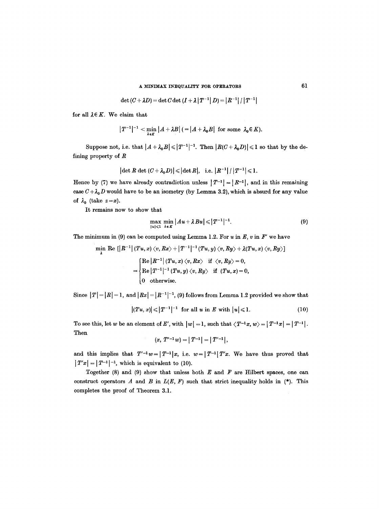## A MINIMAX INEQUALITY FOR OPERATORS 61

$$
\det(C + \lambda D) = \det C \det(I + \lambda |T^{-1}| D) = |R^{-1}| / |T^{-1}|
$$

for all  $\lambda \in K$ . We claim that

$$
|T^{-1}|^{-1}<\min_{\lambda\in K}|A+\lambda B| (=|A+\lambda_0 B| \text{ for some } \lambda_0\in K).
$$

Suppose not, i.e. that  $|A + \lambda_0 B| \leq |T^{-1}|^{-1}$ . Then  $|R(C + \lambda_0 D)| \leq 1$  so that by the defining property of R

$$
|\det R \, \det (C + \lambda_0 D)| \leqslant |\det R|, \text{ i.e. } |R^{-1}| / |T^{-1}| \leqslant 1.
$$

Hence by (7) we have already contradiction unless  $|T^{-1}| = |R^{-1}|$ , and in this remaining case  $C + \lambda_0 D$  would have to be an isometry (by Lemma 3.2), which is absurd for any value of  $\lambda_0$  (take  $z=x$ ).

It remains now to show that

$$
\max_{|u| \leqslant 1} \min_{\lambda \in K} |Au + \lambda Bu| \leqslant |T^{-1}|^{-1}.
$$
 (9)

The minimum in (9) can be computed using Lemma 1.2. For  $u$  in  $E$ ,  $v$  in  $F'$  we have

$$
\min_{\lambda} \text{ Re } [ |R^{-1}| \langle Tu, x \rangle \langle v, Rx \rangle + |T^{-1}|^{-1} \langle Tu, y \rangle \langle v, Ry \rangle + \lambda (Tu, x) \langle v, Ry \rangle ]
$$
\n
$$
= \begin{cases} \text{Re} |R^{-1}| \langle Tu, x \rangle \langle v, Rx \rangle & \text{if } \langle v, Ry \rangle = 0, \\ \text{Re} |T^{-1}|^{-1} \langle Tu, y \rangle \langle v, Ry \rangle & \text{if } \langle Tu, x \rangle = 0, \\ 0 & \text{otherwise.} \end{cases}
$$

Since  $|T| = |R| = 1$ , and  $|Rx| = |R^{-1}|^{-1}$ , (9) follows from Lemma 1.2 provided we show that

$$
|(Tu, x)| \leq |T^{-1}|^{-1} \text{ for all } u \text{ in } E \text{ with } |u| \leq 1. \tag{10}
$$

To see this, let w be an element of E', with  $|w| = 1$ , such that  $\langle T^{-1}x, w \rangle = |T^{-1}x| = |T^{-1}|$ . Then

$$
(x, T'^{-1}w) = |T^{-1}| = |T'^{-1}|,
$$

and this implies that  $T'^{-1}w=|T^{-1}|x$ , i.e.  $w=|T^{-1}|T'x$ . We have thus proved that  $|T'x| = |T^{-1}|^{-1}$ , which is equivalent to (10).

Together (8) and (9) show that unless both  $E$  and  $F$  are Hilbert spaces, one can construct operators A and B in  $L(E, F)$  such that strict inequality holds in (\*). This completes the proof of Theorem 3.1.